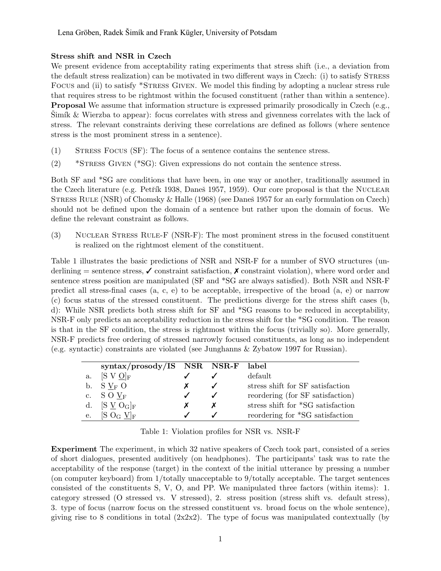## Stress shift and NSR in Czech

We present evidence from acceptability rating experiments that stress shift (i.e., a deviation from the default stress realization) can be motivated in two different ways in Czech: (i) to satisfy STRESS Focus and (ii) to satisfy \*Stress Given. We model this finding by adopting a nuclear stress rule that requires stress to be rightmost within the focused constituent (rather than within a sentence). Proposal We assume that information structure is expressed primarily prosodically in Czech (e.g., Simík & Wierzba to appear): focus correlates with stress and givenness correlates with the lack of stress. The relevant constraints deriving these correlations are defined as follows (where sentence stress is the most prominent stress in a sentence).

- (1) Stress Focus (SF): The focus of a sentence contains the sentence stress.
- (2) \*Stress Given (\*SG): Given expressions do not contain the sentence stress.

Both SF and \*SG are conditions that have been, in one way or another, traditionally assumed in the Czech literature (e.g. Petřík 1938, Daneš 1957, 1959). Our core proposal is that the NUCLEAR STRESS RULE (NSR) of Chomsky & Halle (1968) (see Danes 1957 for an early formulation on Czech) should not be defined upon the domain of a sentence but rather upon the domain of focus. We define the relevant constraint as follows.

(3) Nuclear Stress Rule-F (NSR-F): The most prominent stress in the focused constituent is realized on the rightmost element of the constituent.

Table 1 illustrates the basic predictions of NSR and NSR-F for a number of SVO structures (underlining  $=$  sentence stress,  $\checkmark$  constraint satisfaction,  $\checkmark$  constraint violation), where word order and sentence stress position are manipulated (SF and \*SG are always satisfied). Both NSR and NSR-F predict all stress-final cases (a, c, e) to be acceptable, irrespective of the broad (a, e) or narrow (c) focus status of the stressed constituent. The predictions diverge for the stress shift cases (b, d): While NSR predicts both stress shift for SF and \*SG reasons to be reduced in acceptability, NSR-F only predicts an acceptability reduction in the stress shift for the \*SG condition. The reason is that in the SF condition, the stress is rightmost within the focus (trivially so). More generally, NSR-F predicts free ordering of stressed narrowly focused constituents, as long as no independent (e.g. syntactic) constraints are violated (see Junghanns & Zybatow 1997 for Russian).

|    | $syntax/prosody/IS$ NSR NSR-F label |  |                                   |
|----|-------------------------------------|--|-----------------------------------|
| a. | $[S V Q]_F$                         |  | default                           |
|    | b. $S V_F O$                        |  | stress shift for SF satisfaction  |
|    | c. $S \tO V_F$                      |  | reordering (for SF satisfaction)  |
|    | d. $[S \vee O_G]_F$                 |  | stress shift for *SG satisfaction |
| e. | $[S\ O_G\ V]_F$                     |  | reordering for *SG satisfaction   |

Table 1: Violation profiles for NSR vs. NSR-F

Experiment The experiment, in which 32 native speakers of Czech took part, consisted of a series of short dialogues, presented auditively (on headphones). The participants' task was to rate the acceptability of the response (target) in the context of the initial utterance by pressing a number (on computer keyboard) from 1/totally unacceptable to 9/totally acceptable. The target sentences consisted of the constituents S, V, O, and PP. We manipulated three factors (within items): 1. category stressed (O stressed vs. V stressed), 2. stress position (stress shift vs. default stress), 3. type of focus (narrow focus on the stressed constituent vs. broad focus on the whole sentence), giving rise to 8 conditions in total  $(2x2x2)$ . The type of focus was manipulated contextually (by